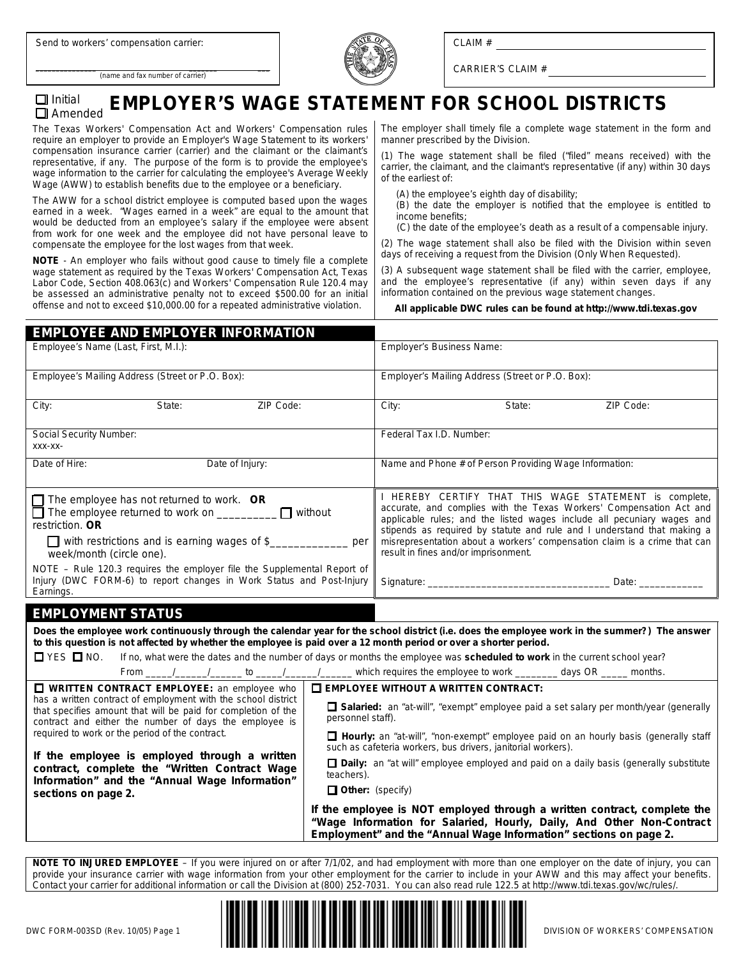$\mathcal{L}_\text{max}$  , and the set of the set of the set of the set of the set of the set of the set of the set of the set of the set of the set of the set of the set of the set of the set of the set of the set of the set of the (name and fax number of carrier)



CLAIM #

CARRIER'S CLAIM #

**Example 3 EMPLOYER'S WAGE STATEMENT FOR SCHOOL DISTRICTS** □ Amended

The Texas Workers' Compensation Act and Workers' Compensation rules require an employer to provide an Employer's Wage Statement to its workers' compensation insurance carrier (carrier) and the claimant or the claimant's representative, if any. The purpose of the form is to provide the employee's wage information to the carrier for calculating the employee's Average Weekly Wage (AWW) to establish benefits due to the employee or a beneficiary.

The AWW for a school district employee is computed based upon the wages earned in a week. "Wages earned in a week" are equal to the amount that would be deducted from an employee's salary if the employee were absent from work for one week and the employee did not have personal leave to compensate the employee for the lost wages from that week.

**NOTE** - An employer who fails without good cause to timely file a complete wage statement as required by the Texas Workers' Compensation Act, Texas Labor Code, Section 408.063(c) and Workers' Compensation Rule 120.4 may be assessed an administrative penalty not to exceed \$500.00 for an initial offense and not to exceed \$10,000.00 for a repeated administrative violation.

The employer shall timely file a complete wage statement in the form and manner prescribed by the Division.

(1) The wage statement shall be filed ("filed" means received) with the carrier, the claimant, and the claimant's representative (if any) within 30 days of the earliest of:

(A) the employee's eighth day of disability;

(B) the date the employer is notified that the employee is entitled to income benefits;

(C) the date of the employee's death as a result of a compensable injury.

(2) The wage statement shall also be filed with the Division within seven days of receiving a request from the Division (Only When Requested).

(3) A subsequent wage statement shall be filed with the carrier, employee, and the employee's representative (if any) within seven days if any information contained on the previous wage statement changes.

#### **All applicable DWC rules can be found at http://www.tdi.texas.gov**

| <b>EMPLOYEE AND EMPLOYER INFORMATION</b>                                                                                                                                                                    |                                                                                                                                                                                                                                                                                                                                                                                                       |  |  |  |  |  |  |
|-------------------------------------------------------------------------------------------------------------------------------------------------------------------------------------------------------------|-------------------------------------------------------------------------------------------------------------------------------------------------------------------------------------------------------------------------------------------------------------------------------------------------------------------------------------------------------------------------------------------------------|--|--|--|--|--|--|
| Employee's Name (Last, First, M.I.):                                                                                                                                                                        | Employer's Business Name:                                                                                                                                                                                                                                                                                                                                                                             |  |  |  |  |  |  |
| Employee's Mailing Address (Street or P.O. Box):                                                                                                                                                            | Employer's Mailing Address (Street or P.O. Box):                                                                                                                                                                                                                                                                                                                                                      |  |  |  |  |  |  |
| City:<br>State:<br>ZIP Code:                                                                                                                                                                                | State:<br>City:<br>ZIP Code:                                                                                                                                                                                                                                                                                                                                                                          |  |  |  |  |  |  |
| Social Security Number:<br>XXX-XX-                                                                                                                                                                          | Federal Tax I.D. Number:                                                                                                                                                                                                                                                                                                                                                                              |  |  |  |  |  |  |
| Date of Hire:<br>Date of Injury:                                                                                                                                                                            | Name and Phone # of Person Providing Wage Information:                                                                                                                                                                                                                                                                                                                                                |  |  |  |  |  |  |
| The employee has not returned to work. $OR$<br>$\Box$ The employee returned to work on $\Box$ without<br>restriction. OR<br>with restrictions and is earning wages of \$<br>per<br>week/month (circle one). | HEREBY CERTIFY THAT THIS WAGE STATEMENT is complete,<br>accurate, and complies with the Texas Workers' Compensation Act and<br>applicable rules; and the listed wages include all pecuniary wages and<br>stipends as required by statute and rule and I understand that making a<br>misrepresentation about a workers' compensation claim is a crime that can<br>result in fines and/or imprisonment. |  |  |  |  |  |  |
| NOTE – Rule 120.3 requires the employer file the Supplemental Report of<br>Injury (DWC FORM-6) to report changes in Work Status and Post-Injury<br>Earnings.                                                | Date: the contract of the contract of the contract of the contract of the contract of the contract of the contract of the contract of the contract of the contract of the contract of the contract of the contract of the cont                                                                                                                                                                        |  |  |  |  |  |  |

### **EMPLOYMENT STATUS**

**Does the employee work continuously through the calendar year for the school district (i.e. does the employee work in the summer?) The answer to this question is not affected by whether the employee is paid over a 12 month period or over a shorter period.**

□ YES □ NO. If no, what were the dates and the number of days or months the employee was **scheduled to work** in the current school year? From  $\frac{1}{2}$  / to  $\frac{1}{2}$  / which requires the employee to work days OR months.

| $\Box$ WRITTEN CONTRACT EMPLOYEE: an employee who                                                                                                                                                                                                                                                                                                                                               | $\Box$ EMPLOYEE WITHOUT A WRITTEN CONTRACT:                                                                                                                                                                            |  |  |  |  |
|-------------------------------------------------------------------------------------------------------------------------------------------------------------------------------------------------------------------------------------------------------------------------------------------------------------------------------------------------------------------------------------------------|------------------------------------------------------------------------------------------------------------------------------------------------------------------------------------------------------------------------|--|--|--|--|
| has a written contract of employment with the school district<br>that specifies amount that will be paid for completion of the<br>contract and either the number of days the employee is<br>required to work or the period of the contract.<br>If the employee is employed through a written<br>contract, complete the "Written Contract Wage<br>Information" and the "Annual Wage Information" | $\Box$ Salaried: an "at-will", "exempt" employee paid a set salary per month/year (generally<br>personnel staff).                                                                                                      |  |  |  |  |
|                                                                                                                                                                                                                                                                                                                                                                                                 | <b>Hourly:</b> an "at-will", "non-exempt" employee paid on an hourly basis (generally staff<br>such as cafeteria workers, bus drivers, janitorial workers).                                                            |  |  |  |  |
|                                                                                                                                                                                                                                                                                                                                                                                                 | <b><math>\Box</math> Daily:</b> an "at will" employee employed and paid on a daily basis (generally substitute<br>teachers).                                                                                           |  |  |  |  |
| sections on page 2.                                                                                                                                                                                                                                                                                                                                                                             | $\Box$ Other: (specify)                                                                                                                                                                                                |  |  |  |  |
|                                                                                                                                                                                                                                                                                                                                                                                                 | If the employee is NOT employed through a written contract, complete the<br>"Wage Information for Salaried, Hourly, Daily, And Other Non-Contract<br>Employment" and the "Annual Wage Information" sections on page 2. |  |  |  |  |

**NOTE TO INJURED EMPLOYEE** – If you were injured on or after 7/1/02, and had employment with more than one employer on the date of injury, you can provide your insurance carrier with wage information from your other employment for the carrier to include in your AWW and this may affect your benefits. Contact your carrier for additional information or call the Division at (800) 252-7031. You can also read rule 122.5 at http://www.tdi.texas.gov/wc/rules/.